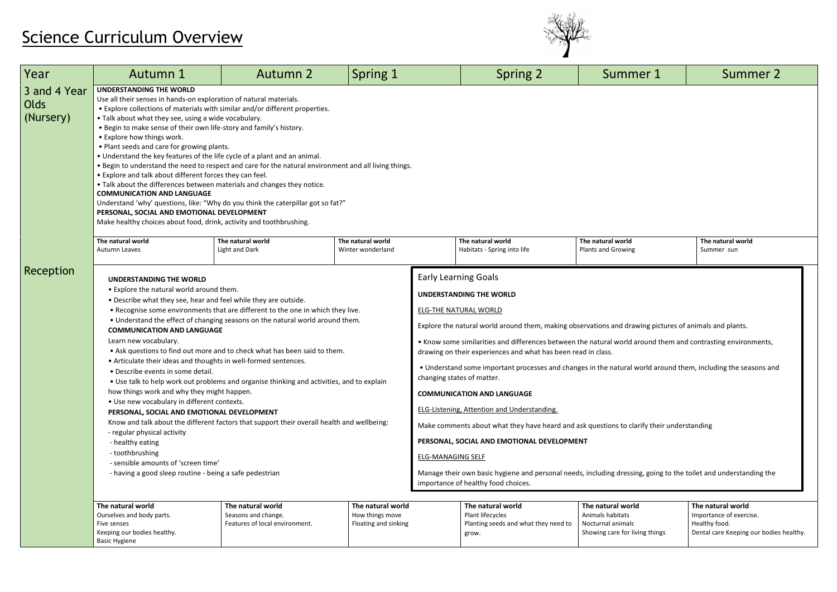## Science Curriculum Overview



| Year                              | Autumn 1                                                                                                                                                                                                                                                                                                                                                                                                                                                                                                                                                                                                                                                                                                                                                                                                                                                                                                                                                                                                                                                                           | <b>Autumn 2</b>                                                            | Spring 1                                                     |                          | <b>Spring 2</b>                                                                                                                                                                                                                                                                                                                                                                                                                                                                                                                                                                                                                                                                                                                                                                                                                                                                                                            | Summer 1                                                                                     | Summer 2                                                                                                 |
|-----------------------------------|------------------------------------------------------------------------------------------------------------------------------------------------------------------------------------------------------------------------------------------------------------------------------------------------------------------------------------------------------------------------------------------------------------------------------------------------------------------------------------------------------------------------------------------------------------------------------------------------------------------------------------------------------------------------------------------------------------------------------------------------------------------------------------------------------------------------------------------------------------------------------------------------------------------------------------------------------------------------------------------------------------------------------------------------------------------------------------|----------------------------------------------------------------------------|--------------------------------------------------------------|--------------------------|----------------------------------------------------------------------------------------------------------------------------------------------------------------------------------------------------------------------------------------------------------------------------------------------------------------------------------------------------------------------------------------------------------------------------------------------------------------------------------------------------------------------------------------------------------------------------------------------------------------------------------------------------------------------------------------------------------------------------------------------------------------------------------------------------------------------------------------------------------------------------------------------------------------------------|----------------------------------------------------------------------------------------------|----------------------------------------------------------------------------------------------------------|
| 3 and 4 Year<br>Olds<br>(Nursery) | <b>UNDERSTANDING THE WORLD</b><br>Use all their senses in hands-on exploration of natural materials.<br>• Explore collections of materials with similar and/or different properties.<br>• Talk about what they see, using a wide vocabulary.<br>. Begin to make sense of their own life-story and family's history.<br>• Explore how things work.<br>. Plant seeds and care for growing plants.<br>• Understand the key features of the life cycle of a plant and an animal.<br>. Begin to understand the need to respect and care for the natural environment and all living things.<br>• Explore and talk about different forces they can feel.<br>. Talk about the differences between materials and changes they notice.<br><b>COMMUNICATION AND LANGUAGE</b><br>Understand 'why' questions, like: "Why do you think the caterpillar got so fat?"<br>PERSONAL, SOCIAL AND EMOTIONAL DEVELOPMENT<br>Make healthy choices about food, drink, activity and toothbrushing.                                                                                                         |                                                                            |                                                              |                          |                                                                                                                                                                                                                                                                                                                                                                                                                                                                                                                                                                                                                                                                                                                                                                                                                                                                                                                            |                                                                                              |                                                                                                          |
|                                   | The natural world<br>Autumn Leaves                                                                                                                                                                                                                                                                                                                                                                                                                                                                                                                                                                                                                                                                                                                                                                                                                                                                                                                                                                                                                                                 | The natural world<br>Light and Dark                                        | The natural world<br>Winter wonderland                       |                          | The natural world<br>Habitats - Spring into life                                                                                                                                                                                                                                                                                                                                                                                                                                                                                                                                                                                                                                                                                                                                                                                                                                                                           | The natural world<br>Plants and Growing                                                      | The natural world<br>Summer sun                                                                          |
| Reception                         | <b>UNDERSTANDING THE WORLD</b><br>• Explore the natural world around them.<br>. Describe what they see, hear and feel while they are outside.<br>. Recognise some environments that are different to the one in which they live.<br>. Understand the effect of changing seasons on the natural world around them.<br><b>COMMUNICATION AND LANGUAGE</b><br>Learn new vocabulary.<br>• Ask questions to find out more and to check what has been said to them.<br>• Articulate their ideas and thoughts in well-formed sentences.<br>• Describe events in some detail.<br>. Use talk to help work out problems and organise thinking and activities, and to explain<br>how things work and why they might happen.<br>• Use new vocabulary in different contexts.<br>PERSONAL, SOCIAL AND EMOTIONAL DEVELOPMENT<br>Know and talk about the different factors that support their overall health and wellbeing:<br>- regular physical activity<br>- healthy eating<br>- toothbrushing<br>- sensible amounts of 'screen time'<br>- having a good sleep routine - being a safe pedestrian |                                                                            |                                                              | <b>ELG-MANAGING SELF</b> | <b>Early Learning Goals</b><br><b>UNDERSTANDING THE WORLD</b><br>ELG-THE NATURAL WORLD<br>Explore the natural world around them, making observations and drawing pictures of animals and plants.<br>• Know some similarities and differences between the natural world around them and contrasting environments,<br>drawing on their experiences and what has been read in class.<br>• Understand some important processes and changes in the natural world around them, including the seasons and<br>changing states of matter.<br><b>COMMUNICATION AND LANGUAGE</b><br>ELG-Listening, Attention and Understanding.<br>Make comments about what they have heard and ask questions to clarify their understanding<br>PERSONAL, SOCIAL AND EMOTIONAL DEVELOPMENT<br>Manage their own basic hygiene and personal needs, including dressing, going to the toilet and understanding the<br>importance of healthy food choices. |                                                                                              |                                                                                                          |
|                                   | The natural world<br>Ourselves and body parts.<br>Five senses<br>Keeping our bodies healthy.<br><b>Basic Hygiene</b>                                                                                                                                                                                                                                                                                                                                                                                                                                                                                                                                                                                                                                                                                                                                                                                                                                                                                                                                                               | The natural world<br>Seasons and change.<br>Features of local environment. | The natural world<br>How things move<br>Floating and sinking |                          | The natural world<br>Plant lifecycles<br>Planting seeds and what they need to<br>grow.                                                                                                                                                                                                                                                                                                                                                                                                                                                                                                                                                                                                                                                                                                                                                                                                                                     | The natural world<br>Animals habitats<br>Nocturnal animals<br>Showing care for living things | The natural world<br>Importance of exercise.<br>Healthy food.<br>Dental care Keeping our bodies healthy. |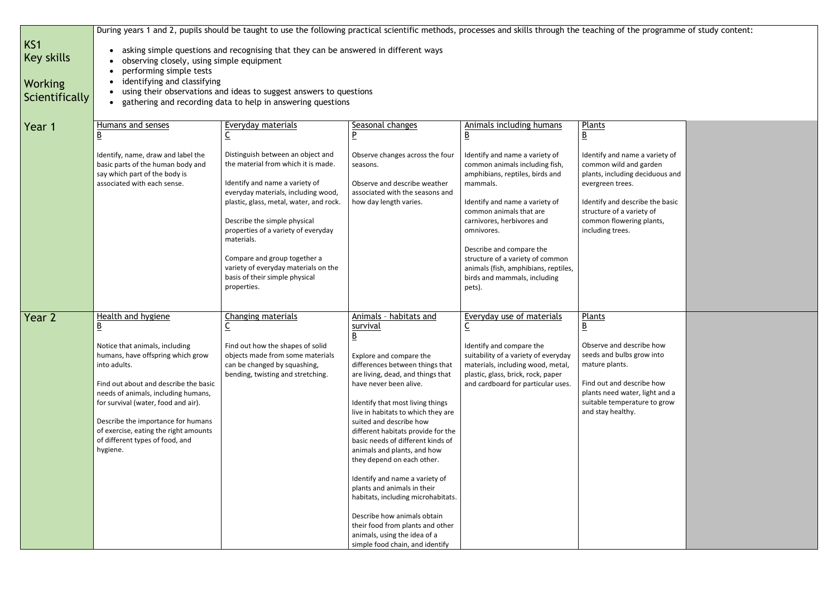| KS1<br><b>Key skills</b><br><b>Working</b><br>Scientifically | During years 1 and 2, pupils should be taught to use the following practical scientific methods, processes and skills through the teaching of the programm<br>asking simple questions and recognising that they can be answered in different ways<br>observing closely, using simple equipment<br>performing simple tests<br>identifying and classifying<br>using their observations and ideas to suggest answers to questions<br>gathering and recording data to help in answering questions |                                                                                                                                                                                                                                                                                                                                                                                                             |                                                                                                                                                                                                                                                                                                                                                                                                                                                                                                                                                                                                                                                                             |                                                                                                                                                                                                                                                                                                                                                                                          |                                                                                                                                                                                                                                                                       |
|--------------------------------------------------------------|-----------------------------------------------------------------------------------------------------------------------------------------------------------------------------------------------------------------------------------------------------------------------------------------------------------------------------------------------------------------------------------------------------------------------------------------------------------------------------------------------|-------------------------------------------------------------------------------------------------------------------------------------------------------------------------------------------------------------------------------------------------------------------------------------------------------------------------------------------------------------------------------------------------------------|-----------------------------------------------------------------------------------------------------------------------------------------------------------------------------------------------------------------------------------------------------------------------------------------------------------------------------------------------------------------------------------------------------------------------------------------------------------------------------------------------------------------------------------------------------------------------------------------------------------------------------------------------------------------------------|------------------------------------------------------------------------------------------------------------------------------------------------------------------------------------------------------------------------------------------------------------------------------------------------------------------------------------------------------------------------------------------|-----------------------------------------------------------------------------------------------------------------------------------------------------------------------------------------------------------------------------------------------------------------------|
| Year 1                                                       | Humans and senses<br>$\overline{B}$<br>Identify, name, draw and label the<br>basic parts of the human body and<br>say which part of the body is<br>associated with each sense.                                                                                                                                                                                                                                                                                                                | Everyday materials<br>$\underline{\mathsf{C}}$<br>Distinguish between an object and<br>the material from which it is made.<br>Identify and name a variety of<br>everyday materials, including wood,<br>plastic, glass, metal, water, and rock.<br>Describe the simple physical<br>properties of a variety of everyday<br>materials.<br>Compare and group together a<br>variety of everyday materials on the | Seasonal changes<br>$\overline{P}$<br>Observe changes across the four<br>seasons.<br>Observe and describe weather<br>associated with the seasons and<br>how day length varies.                                                                                                                                                                                                                                                                                                                                                                                                                                                                                              | Animals including humans<br>$\underline{\mathsf{B}}$<br>Identify and name a variety of<br>common animals including fish,<br>amphibians, reptiles, birds and<br>mammals.<br>Identify and name a variety of<br>common animals that are<br>carnivores, herbivores and<br>omnivores.<br>Describe and compare the<br>structure of a variety of common<br>animals (fish, amphibians, reptiles, | Plants<br>$\underline{\mathsf{B}}$<br>Identify and name a variety of<br>common wild and garden<br>plants, including deciduous and<br>evergreen trees.<br>Identify and describe the basic<br>structure of a variety of<br>common flowering plants,<br>including trees. |
| Year 2                                                       | Health and hygiene<br>$\underline{\mathsf{B}}$<br>Notice that animals, including<br>humans, have offspring which grow<br>into adults.<br>Find out about and describe the basic<br>needs of animals, including humans,<br>for survival (water, food and air).<br>Describe the importance for humans<br>of exercise, eating the right amounts<br>of different types of food, and<br>hygiene.                                                                                                    | basis of their simple physical<br>properties.<br>Changing materials<br>$\underline{\mathsf{C}}$<br>Find out how the shapes of solid<br>objects made from some materials<br>can be changed by squashing,<br>bending, twisting and stretching.                                                                                                                                                                | Animals - habitats and<br>survival<br>$\overline{B}$<br>Explore and compare the<br>differences between things that<br>are living, dead, and things that<br>have never been alive.<br>Identify that most living things<br>live in habitats to which they are<br>suited and describe how<br>different habitats provide for the<br>basic needs of different kinds of<br>animals and plants, and how<br>they depend on each other.<br>Identify and name a variety of<br>plants and animals in their<br>habitats, including microhabitats.<br>Describe how animals obtain<br>their food from plants and other<br>animals, using the idea of a<br>simple food chain, and identify | birds and mammals, including<br>pets).<br>Everyday use of materials<br>$\underline{\mathsf{C}}$<br>Identify and compare the<br>suitability of a variety of everyday<br>materials, including wood, metal,<br>plastic, glass, brick, rock, paper<br>and cardboard for particular uses.                                                                                                     | <b>Plants</b><br>$\underline{\mathsf{B}}$<br>Observe and describe how<br>seeds and bulbs grow into<br>mature plants.<br>Find out and describe how<br>plants need water, light and a<br>suitable temperature to grow<br>and stay healthy.                              |

## the programme of study content:

| <u>Plants</u><br><u>B</u>                                                                                        |  |
|------------------------------------------------------------------------------------------------------------------|--|
| Identify and name a variety of<br>common wild and garden<br>plants, including deciduous and<br>evergreen trees.  |  |
| Identify and describe the basic<br>structure of a variety of<br>common flowering plants,<br>including trees.     |  |
| <u>Plants</u><br>B                                                                                               |  |
| Observe and describe how<br>seeds and bulbs grow into<br>mature plants.                                          |  |
| Find out and describe how<br>plants need water, light and a<br>suitable temperature to grow<br>and stay healthy. |  |
|                                                                                                                  |  |
|                                                                                                                  |  |
|                                                                                                                  |  |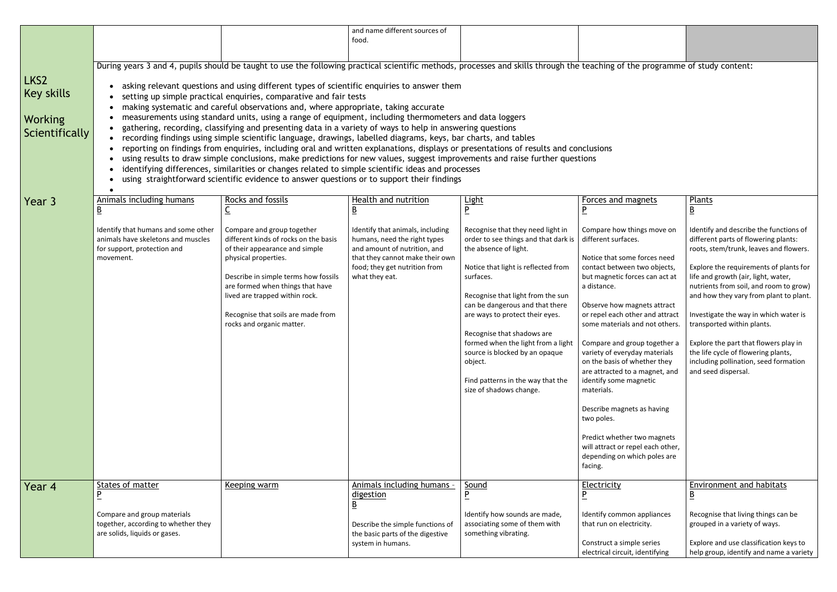|                                                               | and name different sources of<br>food.                                                                                                                                                                                                                                                                                                                                                                                                                                                                                                                                                                                                                                                                                                                                                                                                                                                                                                                                                                                                                                                                                                                                                                                                                                                                                    |                                                                                                                                                                                                                                                                                                                |                                                                                                                                                                                        |                                                                                                                                                                                                                                                                                                                                                                                                                                                                                               |                                                                                                                                                                                                                                                                                                                                                                                                                                                                                                                                                                              |                                                                                                                                                                                                                                                                                                                                                                                                                                                                                                                      |
|---------------------------------------------------------------|---------------------------------------------------------------------------------------------------------------------------------------------------------------------------------------------------------------------------------------------------------------------------------------------------------------------------------------------------------------------------------------------------------------------------------------------------------------------------------------------------------------------------------------------------------------------------------------------------------------------------------------------------------------------------------------------------------------------------------------------------------------------------------------------------------------------------------------------------------------------------------------------------------------------------------------------------------------------------------------------------------------------------------------------------------------------------------------------------------------------------------------------------------------------------------------------------------------------------------------------------------------------------------------------------------------------------|----------------------------------------------------------------------------------------------------------------------------------------------------------------------------------------------------------------------------------------------------------------------------------------------------------------|----------------------------------------------------------------------------------------------------------------------------------------------------------------------------------------|-----------------------------------------------------------------------------------------------------------------------------------------------------------------------------------------------------------------------------------------------------------------------------------------------------------------------------------------------------------------------------------------------------------------------------------------------------------------------------------------------|------------------------------------------------------------------------------------------------------------------------------------------------------------------------------------------------------------------------------------------------------------------------------------------------------------------------------------------------------------------------------------------------------------------------------------------------------------------------------------------------------------------------------------------------------------------------------|----------------------------------------------------------------------------------------------------------------------------------------------------------------------------------------------------------------------------------------------------------------------------------------------------------------------------------------------------------------------------------------------------------------------------------------------------------------------------------------------------------------------|
|                                                               |                                                                                                                                                                                                                                                                                                                                                                                                                                                                                                                                                                                                                                                                                                                                                                                                                                                                                                                                                                                                                                                                                                                                                                                                                                                                                                                           |                                                                                                                                                                                                                                                                                                                |                                                                                                                                                                                        |                                                                                                                                                                                                                                                                                                                                                                                                                                                                                               |                                                                                                                                                                                                                                                                                                                                                                                                                                                                                                                                                                              |                                                                                                                                                                                                                                                                                                                                                                                                                                                                                                                      |
| LKS2<br><b>Key skills</b><br><b>Working</b><br>Scientifically | During years 3 and 4, pupils should be taught to use the following practical scientific methods, processes and skills through the teaching of the programme of study content:<br>asking relevant questions and using different types of scientific enquiries to answer them<br>$\bullet$<br>setting up simple practical enquiries, comparative and fair tests<br>$\bullet$<br>making systematic and careful observations and, where appropriate, taking accurate<br>measurements using standard units, using a range of equipment, including thermometers and data loggers<br>gathering, recording, classifying and presenting data in a variety of ways to help in answering questions<br>$\bullet$<br>recording findings using simple scientific language, drawings, labelled diagrams, keys, bar charts, and tables<br>$\bullet$<br>reporting on findings from enquiries, including oral and written explanations, displays or presentations of results and conclusions<br>using results to draw simple conclusions, make predictions for new values, suggest improvements and raise further questions<br>identifying differences, similarities or changes related to simple scientific ideas and processes<br>$\bullet$<br>using straightforward scientific evidence to answer questions or to support their findings |                                                                                                                                                                                                                                                                                                                |                                                                                                                                                                                        |                                                                                                                                                                                                                                                                                                                                                                                                                                                                                               |                                                                                                                                                                                                                                                                                                                                                                                                                                                                                                                                                                              |                                                                                                                                                                                                                                                                                                                                                                                                                                                                                                                      |
| Year 3                                                        | Animals including humans<br>B                                                                                                                                                                                                                                                                                                                                                                                                                                                                                                                                                                                                                                                                                                                                                                                                                                                                                                                                                                                                                                                                                                                                                                                                                                                                                             | Rocks and fossils<br>$\underline{\mathsf{C}}$                                                                                                                                                                                                                                                                  | Health and nutrition                                                                                                                                                                   | <u>Light</u><br><u>P</u>                                                                                                                                                                                                                                                                                                                                                                                                                                                                      | Forces and magnets                                                                                                                                                                                                                                                                                                                                                                                                                                                                                                                                                           | Plants<br><u>B</u>                                                                                                                                                                                                                                                                                                                                                                                                                                                                                                   |
|                                                               | Identify that humans and some other<br>animals have skeletons and muscles<br>for support, protection and<br>movement.                                                                                                                                                                                                                                                                                                                                                                                                                                                                                                                                                                                                                                                                                                                                                                                                                                                                                                                                                                                                                                                                                                                                                                                                     | Compare and group together<br>different kinds of rocks on the basis<br>of their appearance and simple<br>physical properties.<br>Describe in simple terms how fossils<br>are formed when things that have<br>lived are trapped within rock.<br>Recognise that soils are made from<br>rocks and organic matter. | Identify that animals, including<br>humans, need the right types<br>and amount of nutrition, and<br>that they cannot make their own<br>food; they get nutrition from<br>what they eat. | Recognise that they need light in<br>order to see things and that dark is<br>the absence of light.<br>Notice that light is reflected from<br>surfaces.<br>Recognise that light from the sun<br>can be dangerous and that there<br>are ways to protect their eyes.<br>Recognise that shadows are<br>formed when the light from a light $\mid$ Compare and group together a $\mid$<br>source is blocked by an opaque<br>object.<br>Find patterns in the way that the<br>size of shadows change. | Compare how things move on<br>different surfaces.<br>Notice that some forces need<br>contact between two objects,<br>but magnetic forces can act at<br>a distance.<br>Observe how magnets attract<br>or repel each other and attract<br>some materials and not others.<br>variety of everyday materials<br>on the basis of whether they<br>are attracted to a magnet, and<br>identify some magnetic<br>materials.<br>Describe magnets as having<br>two poles.<br>Predict whether two magnets<br>will attract or repel each other,<br>depending on which poles are<br>facing. | Identify and describe the functions of<br>different parts of flowering plants:<br>roots, stem/trunk, leaves and flowers.<br>Explore the requirements of plants for<br>life and growth (air, light, water,<br>nutrients from soil, and room to grow)<br>and how they vary from plant to plant.<br>Investigate the way in which water is<br>transported within plants.<br>Explore the part that flowers play in<br>the life cycle of flowering plants,<br>including pollination, seed formation<br>and seed dispersal. |
| Year 4                                                        | States of matter<br>P<br>Compare and group materials                                                                                                                                                                                                                                                                                                                                                                                                                                                                                                                                                                                                                                                                                                                                                                                                                                                                                                                                                                                                                                                                                                                                                                                                                                                                      | Keeping warm                                                                                                                                                                                                                                                                                                   | Animals including humans -<br>digestion<br>$\underline{\mathsf{B}}$                                                                                                                    | Sound<br><u>P</u><br>Identify how sounds are made,                                                                                                                                                                                                                                                                                                                                                                                                                                            | <b>Electricity</b><br><u>P</u><br>Identify common appliances                                                                                                                                                                                                                                                                                                                                                                                                                                                                                                                 | Environment and habitats<br><u>B</u><br>Recognise that living things can be                                                                                                                                                                                                                                                                                                                                                                                                                                          |
|                                                               | together, according to whether they<br>are solids, liquids or gases.                                                                                                                                                                                                                                                                                                                                                                                                                                                                                                                                                                                                                                                                                                                                                                                                                                                                                                                                                                                                                                                                                                                                                                                                                                                      |                                                                                                                                                                                                                                                                                                                | Describe the simple functions of<br>the basic parts of the digestive<br>system in humans.                                                                                              | associating some of them with<br>something vibrating.                                                                                                                                                                                                                                                                                                                                                                                                                                         | that run on electricity.<br>Construct a simple series<br>electrical circuit, identifying                                                                                                                                                                                                                                                                                                                                                                                                                                                                                     | grouped in a variety of ways.<br>Explore and use classification keys to<br>help group, identify and name a variety                                                                                                                                                                                                                                                                                                                                                                                                   |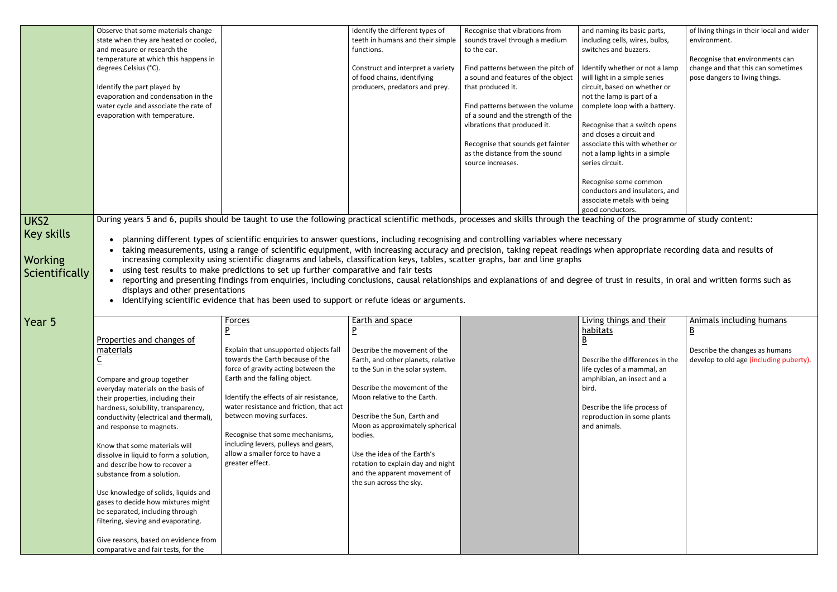| and naming its basic parts,<br>including cells, wires, bulbs,<br>switches and buzzers.                                                                        | of living things in their local and wider<br>environment.            |
|---------------------------------------------------------------------------------------------------------------------------------------------------------------|----------------------------------------------------------------------|
|                                                                                                                                                               | Recognise that environments can                                      |
| Identify whether or not a lamp<br>will light in a simple series<br>circuit, based on whether or<br>not the lamp is part of a<br>complete loop with a battery. | change and that this can sometimes<br>pose dangers to living things. |
| Recognise that a switch opens<br>and closes a circuit and<br>associate this with whether or<br>not a lamp lights in a simple<br>series circuit.               |                                                                      |
| Recognise some common<br>conductors and insulators, and<br>associate metals with being<br>good conductors.                                                    |                                                                      |

the programme of study content:

propriate recording data and results of

in results, in oral and written forms such as

|                                                       | Observe that some materials change<br>state when they are heated or cooled,<br>and measure or research the<br>temperature at which this happens in<br>degrees Celsius (°C).<br>Identify the part played by<br>evaporation and condensation in the<br>water cycle and associate the rate of<br>evaporation with temperature. |                                                                                                                                                                                                                                                                                                                                                                                                                                                                                                                                                                                                                                                                                                                                                                           | Identify the different types of<br>teeth in humans and their simple<br>functions.<br>Construct and interpret a variety<br>of food chains, identifying<br>producers, predators and prey. | Recognise that vibrations from<br>sounds travel through a medium<br>to the ear.<br>Find patterns between the pitch of<br>a sound and features of the object<br>that produced it.<br>Find patterns between the volume<br>of a sound and the strength of the<br>vibrations that produced it.<br>Recognise that sounds get fainter | and naming its basic parts,<br>including cells, wires, bulbs,<br>switches and buzzers.<br>Identify whether or not a lamp<br>will light in a simple series<br>circuit, based on whether or<br>not the lamp is part of a<br>complete loop with a battery.<br>Recognise that a switch opens<br>and closes a circuit and<br>associate this with whether or |
|-------------------------------------------------------|-----------------------------------------------------------------------------------------------------------------------------------------------------------------------------------------------------------------------------------------------------------------------------------------------------------------------------|---------------------------------------------------------------------------------------------------------------------------------------------------------------------------------------------------------------------------------------------------------------------------------------------------------------------------------------------------------------------------------------------------------------------------------------------------------------------------------------------------------------------------------------------------------------------------------------------------------------------------------------------------------------------------------------------------------------------------------------------------------------------------|-----------------------------------------------------------------------------------------------------------------------------------------------------------------------------------------|---------------------------------------------------------------------------------------------------------------------------------------------------------------------------------------------------------------------------------------------------------------------------------------------------------------------------------|--------------------------------------------------------------------------------------------------------------------------------------------------------------------------------------------------------------------------------------------------------------------------------------------------------------------------------------------------------|
|                                                       |                                                                                                                                                                                                                                                                                                                             |                                                                                                                                                                                                                                                                                                                                                                                                                                                                                                                                                                                                                                                                                                                                                                           |                                                                                                                                                                                         | as the distance from the sound<br>source increases.                                                                                                                                                                                                                                                                             | not a lamp lights in a simple<br>series circuit.<br>Recognise some common<br>conductors and insulators, and<br>associate metals with being                                                                                                                                                                                                             |
|                                                       |                                                                                                                                                                                                                                                                                                                             |                                                                                                                                                                                                                                                                                                                                                                                                                                                                                                                                                                                                                                                                                                                                                                           |                                                                                                                                                                                         |                                                                                                                                                                                                                                                                                                                                 | good conductors.                                                                                                                                                                                                                                                                                                                                       |
| UKS <sub>2</sub>                                      |                                                                                                                                                                                                                                                                                                                             | During years 5 and 6, pupils should be taught to use the following practical scientific methods, processes and skills through the teaching of the programn                                                                                                                                                                                                                                                                                                                                                                                                                                                                                                                                                                                                                |                                                                                                                                                                                         |                                                                                                                                                                                                                                                                                                                                 |                                                                                                                                                                                                                                                                                                                                                        |
| <b>Key skills</b><br><b>Working</b><br>Scientifically | displays and other presentations                                                                                                                                                                                                                                                                                            | planning different types of scientific enquiries to answer questions, including recognising and controlling variables where necessary<br>taking measurements, using a range of scientific equipment, with increasing accuracy and precision, taking repeat readings when appropriate reco<br>increasing complexity using scientific diagrams and labels, classification keys, tables, scatter graphs, bar and line graphs<br>using test results to make predictions to set up further comparative and fair tests<br>reporting and presenting findings from enquiries, including conclusions, causal relationships and explanations of and degree of trust in results, in o<br>Identifying scientific evidence that has been used to support or refute ideas or arguments. |                                                                                                                                                                                         |                                                                                                                                                                                                                                                                                                                                 |                                                                                                                                                                                                                                                                                                                                                        |
| Year 5                                                |                                                                                                                                                                                                                                                                                                                             | <b>Forces</b>                                                                                                                                                                                                                                                                                                                                                                                                                                                                                                                                                                                                                                                                                                                                                             | Earth and space                                                                                                                                                                         |                                                                                                                                                                                                                                                                                                                                 | Living things and their                                                                                                                                                                                                                                                                                                                                |
|                                                       |                                                                                                                                                                                                                                                                                                                             | $\overline{P}$                                                                                                                                                                                                                                                                                                                                                                                                                                                                                                                                                                                                                                                                                                                                                            | $\overline{P}$                                                                                                                                                                          |                                                                                                                                                                                                                                                                                                                                 | habitats                                                                                                                                                                                                                                                                                                                                               |
|                                                       | Properties and changes of                                                                                                                                                                                                                                                                                                   |                                                                                                                                                                                                                                                                                                                                                                                                                                                                                                                                                                                                                                                                                                                                                                           |                                                                                                                                                                                         |                                                                                                                                                                                                                                                                                                                                 | $\underline{\mathsf{B}}$                                                                                                                                                                                                                                                                                                                               |
|                                                       | materials                                                                                                                                                                                                                                                                                                                   | Explain that unsupported objects fall                                                                                                                                                                                                                                                                                                                                                                                                                                                                                                                                                                                                                                                                                                                                     | Describe the movement of the                                                                                                                                                            |                                                                                                                                                                                                                                                                                                                                 |                                                                                                                                                                                                                                                                                                                                                        |
|                                                       | $\underline{\mathsf{C}}$                                                                                                                                                                                                                                                                                                    | towards the Earth because of the                                                                                                                                                                                                                                                                                                                                                                                                                                                                                                                                                                                                                                                                                                                                          | Earth, and other planets, relative                                                                                                                                                      |                                                                                                                                                                                                                                                                                                                                 | Describe the differences in the                                                                                                                                                                                                                                                                                                                        |
|                                                       |                                                                                                                                                                                                                                                                                                                             | force of gravity acting between the<br>Earth and the falling object.                                                                                                                                                                                                                                                                                                                                                                                                                                                                                                                                                                                                                                                                                                      | to the Sun in the solar system.                                                                                                                                                         |                                                                                                                                                                                                                                                                                                                                 | life cycles of a mammal, an                                                                                                                                                                                                                                                                                                                            |
|                                                       | Compare and group together<br>everyday materials on the basis of                                                                                                                                                                                                                                                            |                                                                                                                                                                                                                                                                                                                                                                                                                                                                                                                                                                                                                                                                                                                                                                           | Describe the movement of the                                                                                                                                                            |                                                                                                                                                                                                                                                                                                                                 | amphibian, an insect and a<br>bird.                                                                                                                                                                                                                                                                                                                    |
|                                                       | their properties, including their                                                                                                                                                                                                                                                                                           | Identify the effects of air resistance,                                                                                                                                                                                                                                                                                                                                                                                                                                                                                                                                                                                                                                                                                                                                   | Moon relative to the Earth.                                                                                                                                                             |                                                                                                                                                                                                                                                                                                                                 |                                                                                                                                                                                                                                                                                                                                                        |
|                                                       | hardness, solubility, transparency,                                                                                                                                                                                                                                                                                         | water resistance and friction, that act                                                                                                                                                                                                                                                                                                                                                                                                                                                                                                                                                                                                                                                                                                                                   |                                                                                                                                                                                         |                                                                                                                                                                                                                                                                                                                                 | Describe the life process of                                                                                                                                                                                                                                                                                                                           |
|                                                       | conductivity (electrical and thermal),                                                                                                                                                                                                                                                                                      | between moving surfaces.                                                                                                                                                                                                                                                                                                                                                                                                                                                                                                                                                                                                                                                                                                                                                  | Describe the Sun, Earth and<br>Moon as approximately spherical                                                                                                                          |                                                                                                                                                                                                                                                                                                                                 | reproduction in some plants<br>and animals.                                                                                                                                                                                                                                                                                                            |
|                                                       | and response to magnets.                                                                                                                                                                                                                                                                                                    | Recognise that some mechanisms,                                                                                                                                                                                                                                                                                                                                                                                                                                                                                                                                                                                                                                                                                                                                           | bodies.                                                                                                                                                                                 |                                                                                                                                                                                                                                                                                                                                 |                                                                                                                                                                                                                                                                                                                                                        |
|                                                       | Know that some materials will                                                                                                                                                                                                                                                                                               | including levers, pulleys and gears,                                                                                                                                                                                                                                                                                                                                                                                                                                                                                                                                                                                                                                                                                                                                      |                                                                                                                                                                                         |                                                                                                                                                                                                                                                                                                                                 |                                                                                                                                                                                                                                                                                                                                                        |
|                                                       | dissolve in liquid to form a solution,                                                                                                                                                                                                                                                                                      | allow a smaller force to have a                                                                                                                                                                                                                                                                                                                                                                                                                                                                                                                                                                                                                                                                                                                                           | Use the idea of the Earth's                                                                                                                                                             |                                                                                                                                                                                                                                                                                                                                 |                                                                                                                                                                                                                                                                                                                                                        |
|                                                       | and describe how to recover a<br>substance from a solution.                                                                                                                                                                                                                                                                 | greater effect.                                                                                                                                                                                                                                                                                                                                                                                                                                                                                                                                                                                                                                                                                                                                                           | rotation to explain day and night<br>and the apparent movement of                                                                                                                       |                                                                                                                                                                                                                                                                                                                                 |                                                                                                                                                                                                                                                                                                                                                        |
|                                                       |                                                                                                                                                                                                                                                                                                                             |                                                                                                                                                                                                                                                                                                                                                                                                                                                                                                                                                                                                                                                                                                                                                                           | the sun across the sky.                                                                                                                                                                 |                                                                                                                                                                                                                                                                                                                                 |                                                                                                                                                                                                                                                                                                                                                        |
|                                                       | Use knowledge of solids, liquids and                                                                                                                                                                                                                                                                                        |                                                                                                                                                                                                                                                                                                                                                                                                                                                                                                                                                                                                                                                                                                                                                                           |                                                                                                                                                                                         |                                                                                                                                                                                                                                                                                                                                 |                                                                                                                                                                                                                                                                                                                                                        |
|                                                       | gases to decide how mixtures might                                                                                                                                                                                                                                                                                          |                                                                                                                                                                                                                                                                                                                                                                                                                                                                                                                                                                                                                                                                                                                                                                           |                                                                                                                                                                                         |                                                                                                                                                                                                                                                                                                                                 |                                                                                                                                                                                                                                                                                                                                                        |
|                                                       | be separated, including through                                                                                                                                                                                                                                                                                             |                                                                                                                                                                                                                                                                                                                                                                                                                                                                                                                                                                                                                                                                                                                                                                           |                                                                                                                                                                                         |                                                                                                                                                                                                                                                                                                                                 |                                                                                                                                                                                                                                                                                                                                                        |
|                                                       | filtering, sieving and evaporating.                                                                                                                                                                                                                                                                                         |                                                                                                                                                                                                                                                                                                                                                                                                                                                                                                                                                                                                                                                                                                                                                                           |                                                                                                                                                                                         |                                                                                                                                                                                                                                                                                                                                 |                                                                                                                                                                                                                                                                                                                                                        |
|                                                       | Give reasons, based on evidence from<br>comparative and fair tests, for the                                                                                                                                                                                                                                                 |                                                                                                                                                                                                                                                                                                                                                                                                                                                                                                                                                                                                                                                                                                                                                                           |                                                                                                                                                                                         |                                                                                                                                                                                                                                                                                                                                 |                                                                                                                                                                                                                                                                                                                                                        |

| Living things and their<br><u>habitats</u><br><u>B</u>                                                | <b>Animals including humans</b><br>$\underline{\mathsf{B}}$               |
|-------------------------------------------------------------------------------------------------------|---------------------------------------------------------------------------|
| Describe the differences in the<br>life cycles of a mammal, an<br>amphibian, an insect and a<br>bird. | Describe the changes as humans<br>develop to old age (including puberty). |
| Describe the life process of<br>reproduction in some plants<br>and animals.                           |                                                                           |
|                                                                                                       |                                                                           |
|                                                                                                       |                                                                           |
|                                                                                                       |                                                                           |